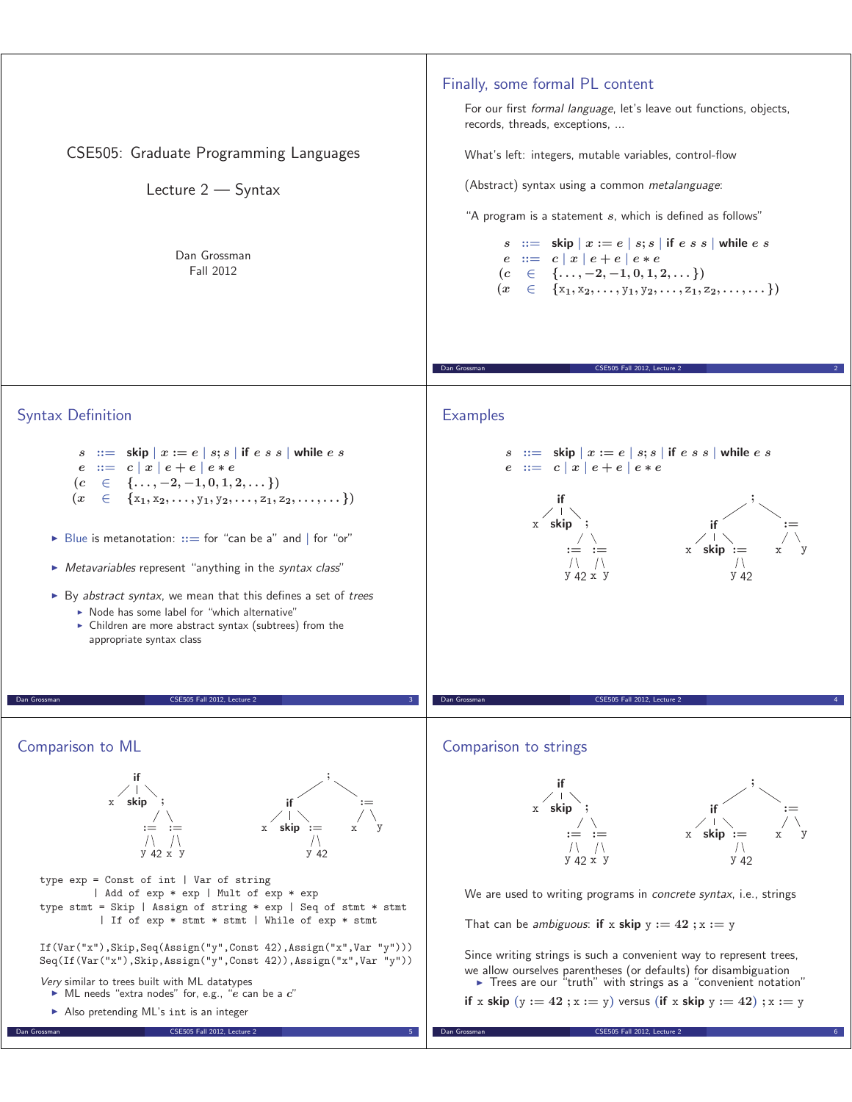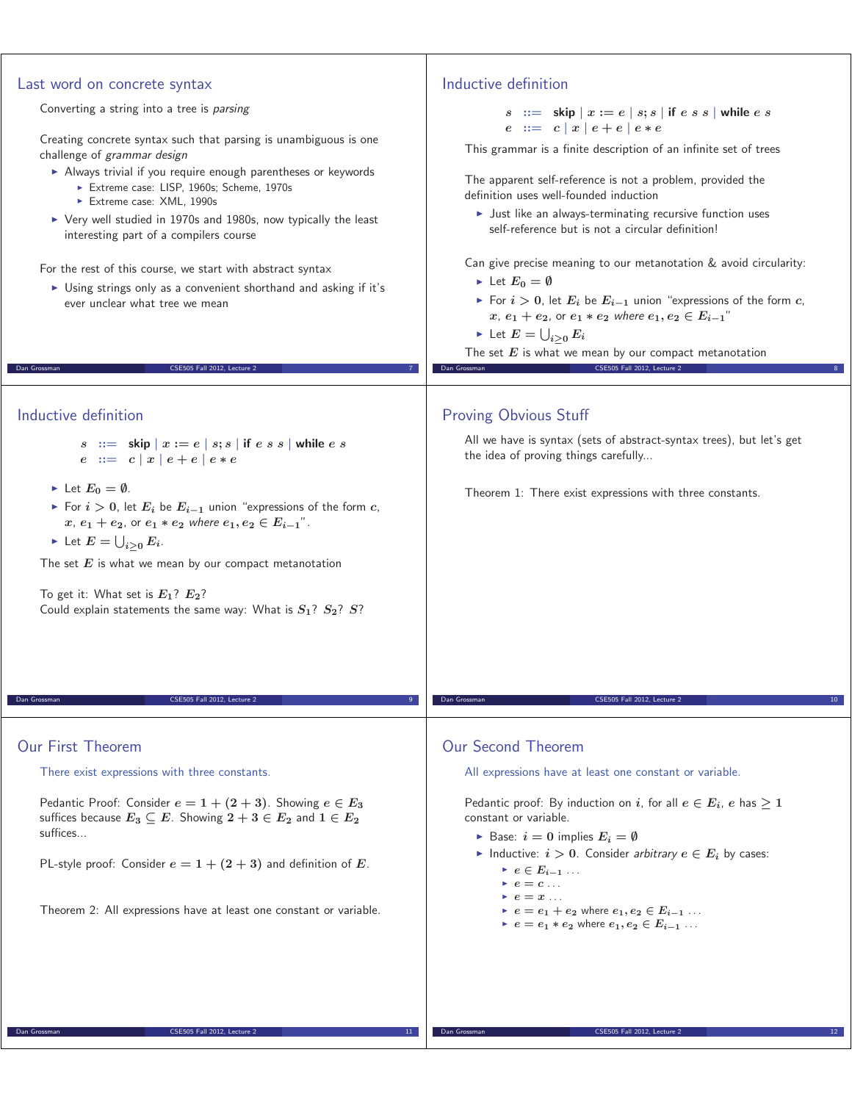| Last word on concrete syntax<br>Converting a string into a tree is parsing<br>Creating concrete syntax such that parsing is unambiguous is one<br>challenge of grammar design                                                                                                                                                                                                                            | Inductive definition<br>$s ::=$ skip $x := e   s; s  $ if $e s s  $ while $e s$<br>$e ::= c   x   e + e   e * e$<br>This grammar is a finite description of an infinite set of trees                                                                                                                                                                                                                    |
|----------------------------------------------------------------------------------------------------------------------------------------------------------------------------------------------------------------------------------------------------------------------------------------------------------------------------------------------------------------------------------------------------------|---------------------------------------------------------------------------------------------------------------------------------------------------------------------------------------------------------------------------------------------------------------------------------------------------------------------------------------------------------------------------------------------------------|
| Always trivial if you require enough parentheses or keywords<br>Extreme case: LISP, 1960s; Scheme, 1970s<br>Extreme case: XML, 1990s<br>▶ Very well studied in 1970s and 1980s, now typically the least                                                                                                                                                                                                  | The apparent self-reference is not a problem, provided the<br>definition uses well-founded induction<br>• Just like an always-terminating recursive function uses<br>self-reference but is not a circular definition!                                                                                                                                                                                   |
| interesting part of a compilers course<br>For the rest of this course, we start with abstract syntax<br>> Using strings only as a convenient shorthand and asking if it's<br>ever unclear what tree we mean<br>CSE505 Fall 2012, Lecture 2<br>Dan Grossman                                                                                                                                               | Can give precise meaning to our metanotation & avoid circularity:<br>let $E_0 = \emptyset$<br>For $i > 0$ , let $E_i$ be $E_{i-1}$ union "expressions of the form c,<br>$x, e_1 + e_2$ , or $e_1 * e_2$ where $e_1, e_2 \in E_{i-1}$ "<br>$\blacktriangleright$ Let $E=\bigcup_{i\geq 0} E_i$<br>The set $E$ is what we mean by our compact metanotation<br>CSE505 Fall 2012, Lecture 2<br>Dan Grossman |
| Inductive definition                                                                                                                                                                                                                                                                                                                                                                                     | <b>Proving Obvious Stuff</b>                                                                                                                                                                                                                                                                                                                                                                            |
| $s :=$ skip $x := e \mid s; s \mid$ if $e \mid s \mid$ while $e \mid s \mid$<br>$e := c  x  e + e  e * e$                                                                                                                                                                                                                                                                                                | All we have is syntax (sets of abstract-syntax trees), but let's get<br>the idea of proving things carefully                                                                                                                                                                                                                                                                                            |
| let $E_0 = \emptyset$ .<br>For $i > 0$ , let $E_i$ be $E_{i-1}$ union "expressions of the form c,<br>$x, e_1 + e_2$ , or $e_1 * e_2$ where $e_1, e_2 \in E_{i-1}$ ".<br>$\blacktriangleright$ Let $E = \bigcup_{i>0} E_i$ .<br>The set $E$ is what we mean by our compact metanotation<br>To get it: What set is $E_1$ ? $E_2$ ?<br>Could explain statements the same way: What is $S_1$ ? $S_2$ ? $S$ ? | Theorem 1: There exist expressions with three constants.                                                                                                                                                                                                                                                                                                                                                |
| Dan Grossman<br>CSE505 Fall 2012, Lecture 2                                                                                                                                                                                                                                                                                                                                                              | Dan Grossman<br>CSE505 Fall 2012, Lecture 2<br>10                                                                                                                                                                                                                                                                                                                                                       |
| <b>Our First Theorem</b><br>There exist expressions with three constants.                                                                                                                                                                                                                                                                                                                                | Our Second Theorem<br>All expressions have at least one constant or variable.                                                                                                                                                                                                                                                                                                                           |
| Pedantic Proof: Consider $e = 1 + (2 + 3)$ . Showing $e \in E_3$<br>suffices because $E_3 \subseteq E$ . Showing $2 + 3 \in E_2$ and $1 \in E_2$<br>suffices<br>PL-style proof: Consider $e = 1 + (2 + 3)$ and definition of E.                                                                                                                                                                          | Pedantic proof: By induction on i, for all $e \in E_i$ , e has $\geq 1$<br>constant or variable.<br>Base: $i = 0$ implies $E_i = \emptyset$<br>Inductive: $i > 0$ . Consider arbitrary $e \in E_i$ by cases:<br>$e \in E_{i-1}$<br>$e = c \dots$                                                                                                                                                        |
| Theorem 2: All expressions have at least one constant or variable.                                                                                                                                                                                                                                                                                                                                       | $e = x \dots$<br>$e = e_1 + e_2$ where $e_1, e_2 \in E_{i-1}$<br>• $e = e_1 * e_2$ where $e_1, e_2 \in E_{i-1}$                                                                                                                                                                                                                                                                                         |
| CSE505 Fall 2012, Lecture 2<br>Dan Grossman<br>11 <sub>1</sub>                                                                                                                                                                                                                                                                                                                                           | CSE505 Fall 2012, Lecture 2<br>Dan Grossman<br>12                                                                                                                                                                                                                                                                                                                                                       |